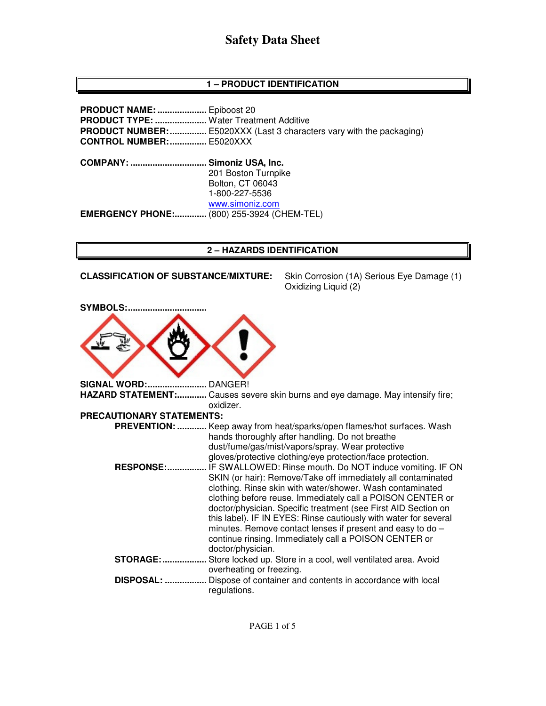# **Safety Data Sheet**

# **1 – PRODUCT IDENTIFICATION**

**PRODUCT NAME: ....................** Epiboost 20 **PRODUCT TYPE: .....................** Water Treatment Additive **PRODUCT NUMBER:** ................. E5020XXX (Last 3 characters vary with the packaging) **CONTROL NUMBER: ...............** E5020XXX **COMPANY: ............................... Simoniz USA, Inc.** 201 Boston Turnpike Bolton, CT 06043 1-800-227-5536 www.simoniz.com **EMERGENCY PHONE:.............** (800) 255-3924 (CHEM-TEL)

### **2 – HAZARDS IDENTIFICATION**

**CLASSIFICATION OF SUBSTANCE/MIXTURE:** Skin Corrosion (1A) Serious Eye Damage (1)

Oxidizing Liquid (2)

| <b>SYMBOLS:</b>           |                                                                                                                                                                                                                                                                                                                                                                                                                                                                                                                                       |
|---------------------------|---------------------------------------------------------------------------------------------------------------------------------------------------------------------------------------------------------------------------------------------------------------------------------------------------------------------------------------------------------------------------------------------------------------------------------------------------------------------------------------------------------------------------------------|
| <b>SIGNAL WORD:.</b>      | DANGER!                                                                                                                                                                                                                                                                                                                                                                                                                                                                                                                               |
| HAZARD STATEMENT:         | Causes severe skin burns and eye damage. May intensify fire;<br>oxidizer.                                                                                                                                                                                                                                                                                                                                                                                                                                                             |
| PRECAUTIONARY STATEMENTS: |                                                                                                                                                                                                                                                                                                                                                                                                                                                                                                                                       |
|                           | <b>PREVENTION:  Keep away from heat/sparks/open flames/hot surfaces. Wash</b><br>hands thoroughly after handling. Do not breathe<br>dust/fume/gas/mist/vapors/spray. Wear protective<br>gloves/protective clothing/eye protection/face protection.                                                                                                                                                                                                                                                                                    |
| <b>RESPONSE:.</b>         | IF SWALLOWED: Rinse mouth. Do NOT induce vomiting. IF ON<br>SKIN (or hair): Remove/Take off immediately all contaminated<br>clothing. Rinse skin with water/shower. Wash contaminated<br>clothing before reuse. Immediately call a POISON CENTER or<br>doctor/physician. Specific treatment (see First AID Section on<br>this label). IF IN EYES: Rinse cautiously with water for several<br>minutes. Remove contact lenses if present and easy to do -<br>continue rinsing. Immediately call a POISON CENTER or<br>doctor/physician. |
| <b>STORAGE:</b>           | Store locked up. Store in a cool, well ventilated area. Avoid<br>overheating or freezing.                                                                                                                                                                                                                                                                                                                                                                                                                                             |
| DISPOSAL:                 | Dispose of container and contents in accordance with local<br>regulations.                                                                                                                                                                                                                                                                                                                                                                                                                                                            |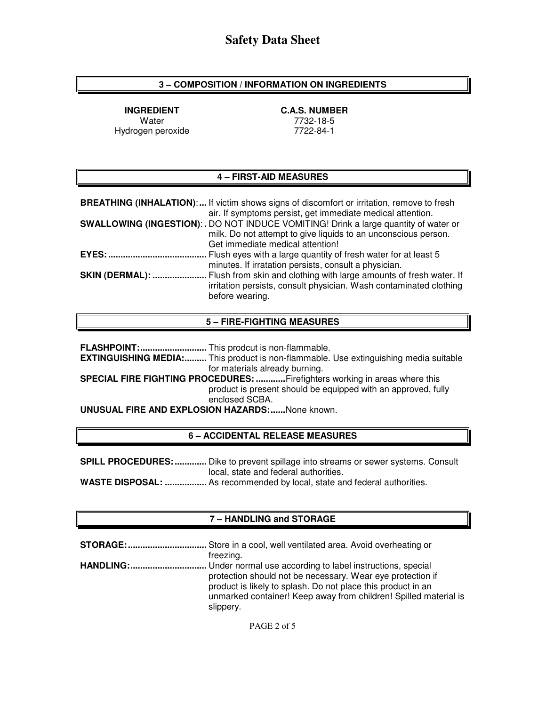## **3 – COMPOSITION / INFORMATION ON INGREDIENTS**

**INGREDIENT C.A.S. NUMBER**  Hydrogen peroxide

Water 7732-18-5<br>
gen peroxide 1990 1991 1992-84-1

# **4 – FIRST-AID MEASURES**

|                        | <b>BREATHING (INHALATION):</b> If victim shows signs of discomfort or irritation, remove to fresh<br>air. If symptoms persist, get immediate medical attention.                                  |
|------------------------|--------------------------------------------------------------------------------------------------------------------------------------------------------------------------------------------------|
|                        | <b>SWALLOWING (INGESTION):.</b> DO NOT INDUCE VOMITING! Drink a large quantity of water or<br>milk. Do not attempt to give liquids to an unconscious person.<br>Get immediate medical attention! |
| <b>EYES: </b>          | Flush eyes with a large quantity of fresh water for at least 5<br>minutes. If irratation persists, consult a physician.                                                                          |
| <b>SKIN (DERMAL): </b> | Flush from skin and clothing with large amounts of fresh water. If<br>irritation persists, consult physician. Wash contaminated clothing<br>before wearing.                                      |

### **5 – FIRE-FIGHTING MEASURES**

**FLASHPOINT: ...........................** This prodcut is non-flammable.

**EXTINGUISHING MEDIA: .........** This product is non-flammable. Use extinguishing media suitable for materials already burning.

**SPECIAL FIRE FIGHTING PROCEDURES: ............** Firefighters working in areas where this product is present should be equipped with an approved, fully enclosed SCBA.

**UNUSUAL FIRE AND EXPLOSION HAZARDS: ......** None known.

### **6 – ACCIDENTAL RELEASE MEASURES**

**SPILL PROCEDURES: .............** Dike to prevent spillage into streams or sewer systems. Consult local, state and federal authorities. **WASTE DISPOSAL: .................** As recommended by local, state and federal authorities.

## **7 – HANDLING and STORAGE**

| freezing.                                                                                                                                                                                      |
|------------------------------------------------------------------------------------------------------------------------------------------------------------------------------------------------|
| protection should not be necessary. Wear eye protection if<br>product is likely to splash. Do not place this product in an<br>unmarked container! Keep away from children! Spilled material is |
| slippery.                                                                                                                                                                                      |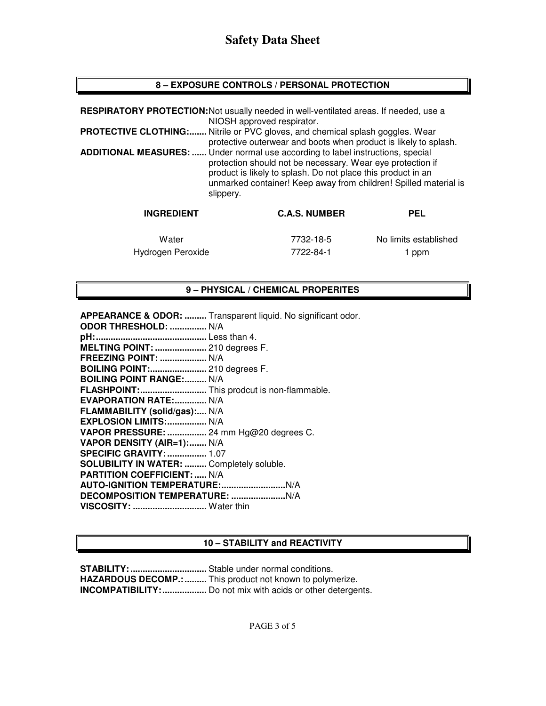## **8 – EXPOSURE CONTROLS / PERSONAL PROTECTION**

|                              | RESPIRATORY PROTECTION: Not usually needed in well-ventilated areas. If needed, use a<br>NIOSH approved respirator.                                                                                                                                                      |     |
|------------------------------|--------------------------------------------------------------------------------------------------------------------------------------------------------------------------------------------------------------------------------------------------------------------------|-----|
|                              | <b>PROTECTIVE CLOTHING:</b> Nitrile or PVC gloves, and chemical splash goggles. Wear<br>protective outerwear and boots when product is likely to splash.                                                                                                                 |     |
| <b>ADDITIONAL MEASURES: </b> | Under normal use according to label instructions, special<br>protection should not be necessary. Wear eye protection if<br>product is likely to splash. Do not place this product in an<br>unmarked container! Keep away from children! Spilled material is<br>slippery. |     |
| <b>INGREDIENT</b>            | <b>C.A.S. NUMBER</b>                                                                                                                                                                                                                                                     | PEL |

Water 7732-18-5 No limits established Hydrogen Peroxide 7722-84-1 1 ppm

## **9 – PHYSICAL / CHEMICAL PROPERITES**

**APPEARANCE & ODOR: .........** Transparent liquid. No significant odor.

| ODOR THRESHOLD:  N/A                             |
|--------------------------------------------------|
|                                                  |
| MELTING POINT:  210 degrees F.                   |
| FREEZING POINT:  N/A                             |
| BOILING POINT: 210 degrees F.                    |
| <b>BOILING POINT RANGE: N/A</b>                  |
| FLASHPOINT: This prodcut is non-flammable.       |
| EVAPORATION RATE: N/A                            |
| FLAMMABILITY (solid/gas): N/A                    |
| EXPLOSION LIMITS: N/A                            |
| VAPOR PRESSURE:  24 mm Hg@20 degrees C.          |
| VAPOR DENSITY (AIR=1): N/A                       |
| <b>SPECIFIC GRAVITY:  1.07</b>                   |
| <b>SOLUBILITY IN WATER:  Completely soluble.</b> |
| <b>PARTITION COEFFICIENT:  N/A</b>               |
|                                                  |
|                                                  |
| VISCOSITY:  Water thin                           |
|                                                  |

### **10 – STABILITY and REACTIVITY**

**STABILITY: ...............................** Stable under normal conditions. **HAZARDOUS DECOMP.: .........** This product not known to polymerize. **INCOMPATIBILITY: ..................** Do not mix with acids or other detergents.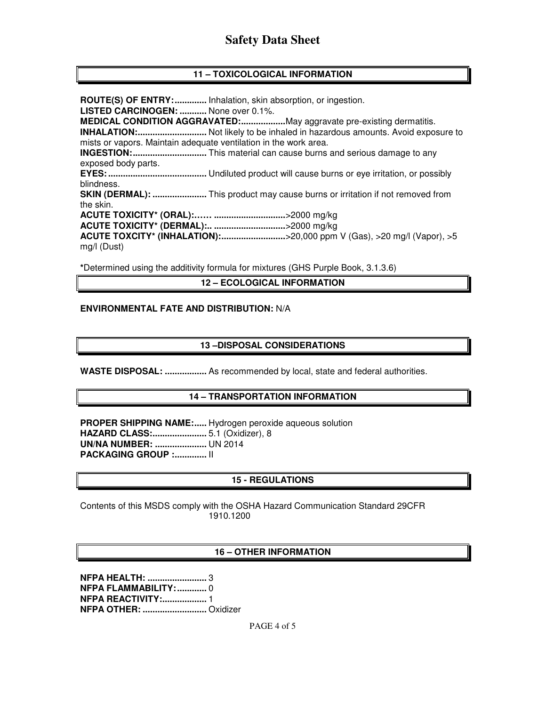# **Safety Data Sheet**

## **11 – TOXICOLOGICAL INFORMATION**

**ROUTE(S) OF ENTRY: .............** Inhalation, skin absorption, or ingestion. **LISTED CARCINOGEN: ...........** None over 0.1%. **MEDICAL CONDITION AGGRAVATED: ..................** May aggravate pre-existing dermatitis. **INHALATION: ............................** Not likely to be inhaled in hazardous amounts. Avoid exposure to mists or vapors. Maintain adequate ventilation in the work area. **INGESTION: ..............................** This material can cause burns and serious damage to any exposed body parts. **EYES: ........................................** Undiluted product will cause burns or eye irritation, or possibly blindness. **SKIN (DERMAL): ......................** This product may cause burns or irritation if not removed from the skin. **ACUTE TOXICITY\* (ORAL):…… .............................** >2000 mg/kg **ACUTE TOXICITY\* (DERMAL):.. .............................** >2000 mg/kg **ACUTE TOXCITY\* (INHALATION): ..........................** >20,000 ppm V (Gas), >20 mg/l (Vapor), >5 mg/l (Dust)

**\***Determined using the additivity formula for mixtures (GHS Purple Book, 3.1.3.6)

#### **12 – ECOLOGICAL INFORMATION**

#### **ENVIRONMENTAL FATE AND DISTRIBUTION:** N/A

#### **13 –DISPOSAL CONSIDERATIONS**

**WASTE DISPOSAL: .................** As recommended by local, state and federal authorities.

#### **14 – TRANSPORTATION INFORMATION**

**PROPER SHIPPING NAME:.....** Hydrogen peroxide aqueous solution **HAZARD CLASS: ......................** 5.1 (Oxidizer), 8 **UN/NA NUMBER: .....................** UN 2014 **PACKAGING GROUP :............. | |** 

### **15 - REGULATIONS**

Contents of this MSDS comply with the OSHA Hazard Communication Standard 29CFR 1910.1200

#### **16 – OTHER INFORMATION**

**NFPA HEALTH: ........................** 3 **NFPA FLAMMABILITY: ............** 0 **NFPA REACTIVITY:.................. 1 NFPA OTHER: ..........................** Oxidizer